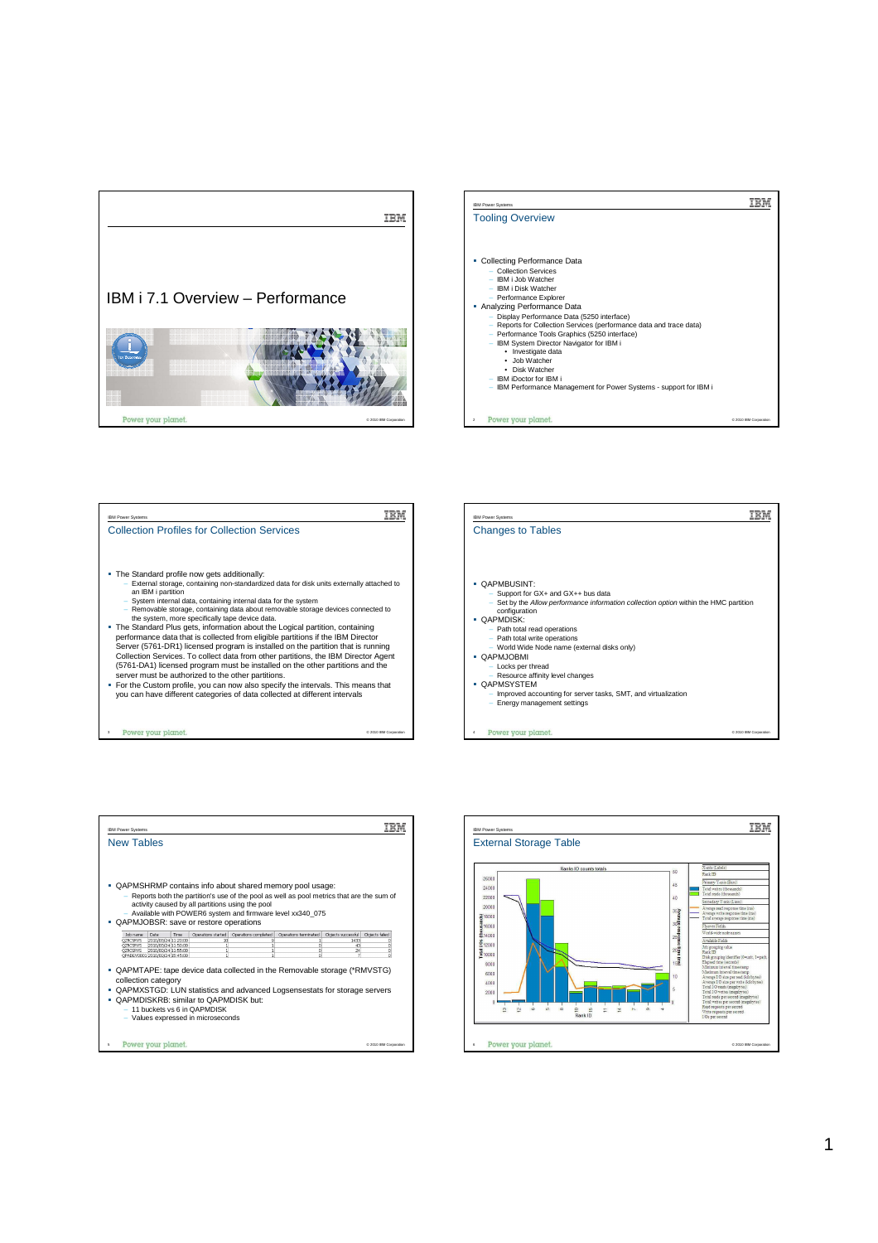





| <b>IBM Power Systems</b>                                                                                                                                                                                                                                                                                                                                                                   |                                                          |
|--------------------------------------------------------------------------------------------------------------------------------------------------------------------------------------------------------------------------------------------------------------------------------------------------------------------------------------------------------------------------------------------|----------------------------------------------------------|
| <b>New Tables</b>                                                                                                                                                                                                                                                                                                                                                                          |                                                          |
|                                                                                                                                                                                                                                                                                                                                                                                            |                                                          |
| • QAPMSHRMP contains info about shared memory pool usage:<br>Reports both the partition's use of the pool as well as pool metrics that are the sum of<br>activity caused by all partitions using the pool<br>- Available with POWER6 system and firmware level xx340 075<br>• QAPMJOBSR: save or restore operations                                                                        |                                                          |
| Objects successful<br>Job name<br>Date<br>Operations started<br>Operations completed<br>Operations terminated<br>Time<br>2010/03/24 11:20:00<br><b>OZRCSRVS</b><br>q<br>1433<br>10<br>$\mathbf{1}$<br>2010/03/24 11:50:00<br>OZRCSRVS<br>$\mathbf{1}$<br>n<br>43<br>1<br>OZRCSRVS<br>2010/03/24 11:55:00<br>ı<br>o<br>24<br>$\mathbf{1}$<br>OPADEV0001 2010/03/24 15:45:00<br>٠<br>n<br>21 | Objects failed<br>n<br>ō<br>ō<br>$\overline{\mathsf{n}}$ |
| • QAPMTAPE: tape device data collected in the Removable storage (*RMVSTG)<br>collection category<br>• QAPMXSTGD: LUN statistics and advanced Logsensestats for storage servers<br>• QAPMDISKRB: similar to QAPMDISK but:<br>$-11$ buckets vs 6 in QAPMDISK<br>- Values expressed in microseconds                                                                                           |                                                          |
| Power your planet.                                                                                                                                                                                                                                                                                                                                                                         | C 2010 IBM Corporation                                   |

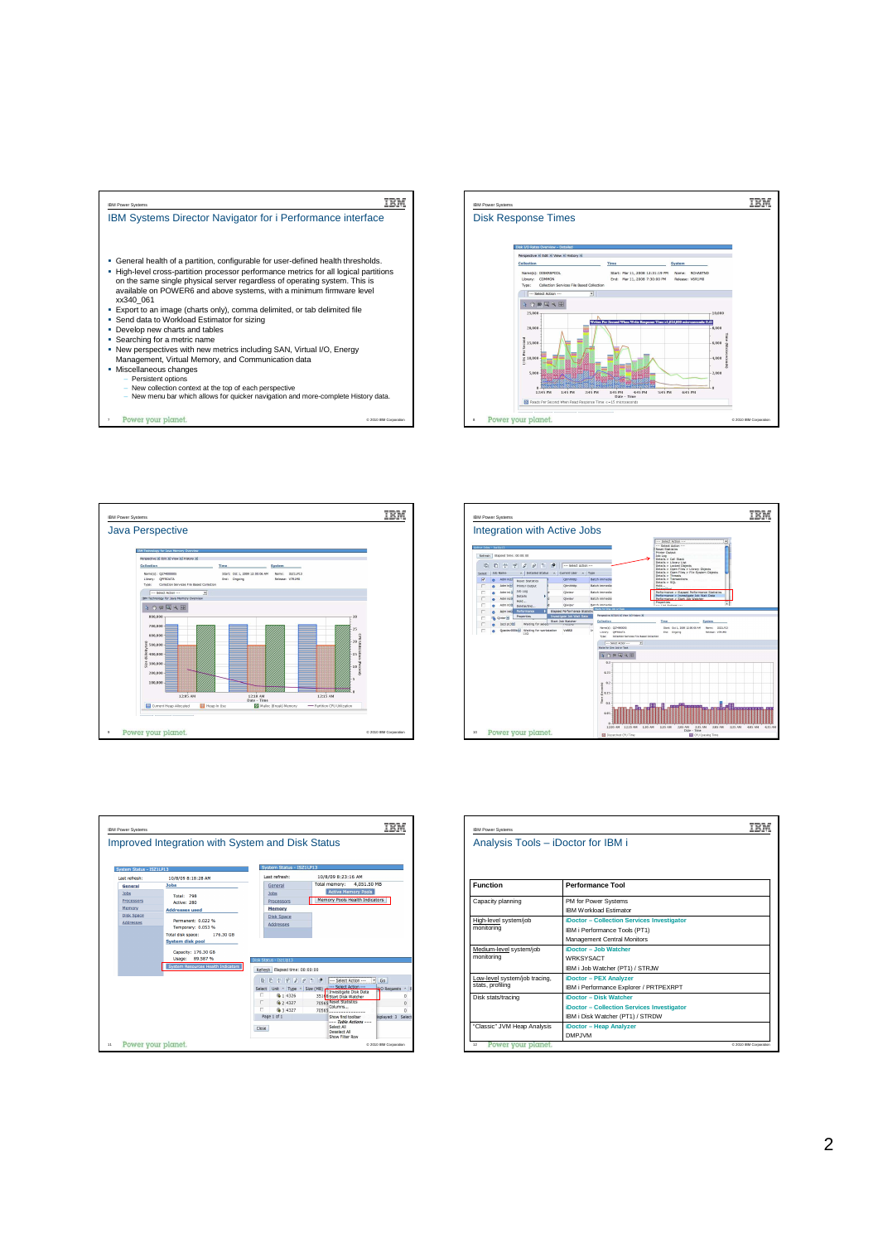

- Persistent options
	-
- New collection context at the top of each perspective New menu bar which allows for quicker navigation and more-complete History data. Power your planet.

© 2010 IBM Corporation









| <b>IBM Power Systems</b>                          |                                                                                                            |                        |
|---------------------------------------------------|------------------------------------------------------------------------------------------------------------|------------------------|
| Analysis Tools - iDoctor for IBM i                |                                                                                                            |                        |
| <b>Function</b>                                   | <b>Performance Tool</b>                                                                                    |                        |
| Capacity planning                                 | PM for Power Systems<br><b>IBM Workload Estimator</b>                                                      |                        |
| High-level system/job<br>monitoring               | iDoctor - Collection Services Investigator<br>IBM i Performance Tools (PT1)<br>Management Central Monitors |                        |
| Medium-level system/job<br>monitorina             | iDoctor - Job Watcher<br>WRKSYSACT<br>IBM i Job Watcher (PT1) / STRJW                                      |                        |
| Low-level system/job tracing,<br>stats, profiling | iDoctor - PEX Analyzer<br>IBM i Performance Explorer / PRTPEXRPT                                           |                        |
| Disk stats/tracing                                | iDoctor - Disk Watcher<br>iDoctor - Collection Services Investigator<br>IBM i Disk Watcher (PT1) / STRDW   |                        |
| "Classic" JVM Heap Analysis                       | iDoctor - Heap Analyzer<br>DMP.IVM                                                                         |                        |
| Power your planet.<br>12                          |                                                                                                            | @ 2010 IBM Corporation |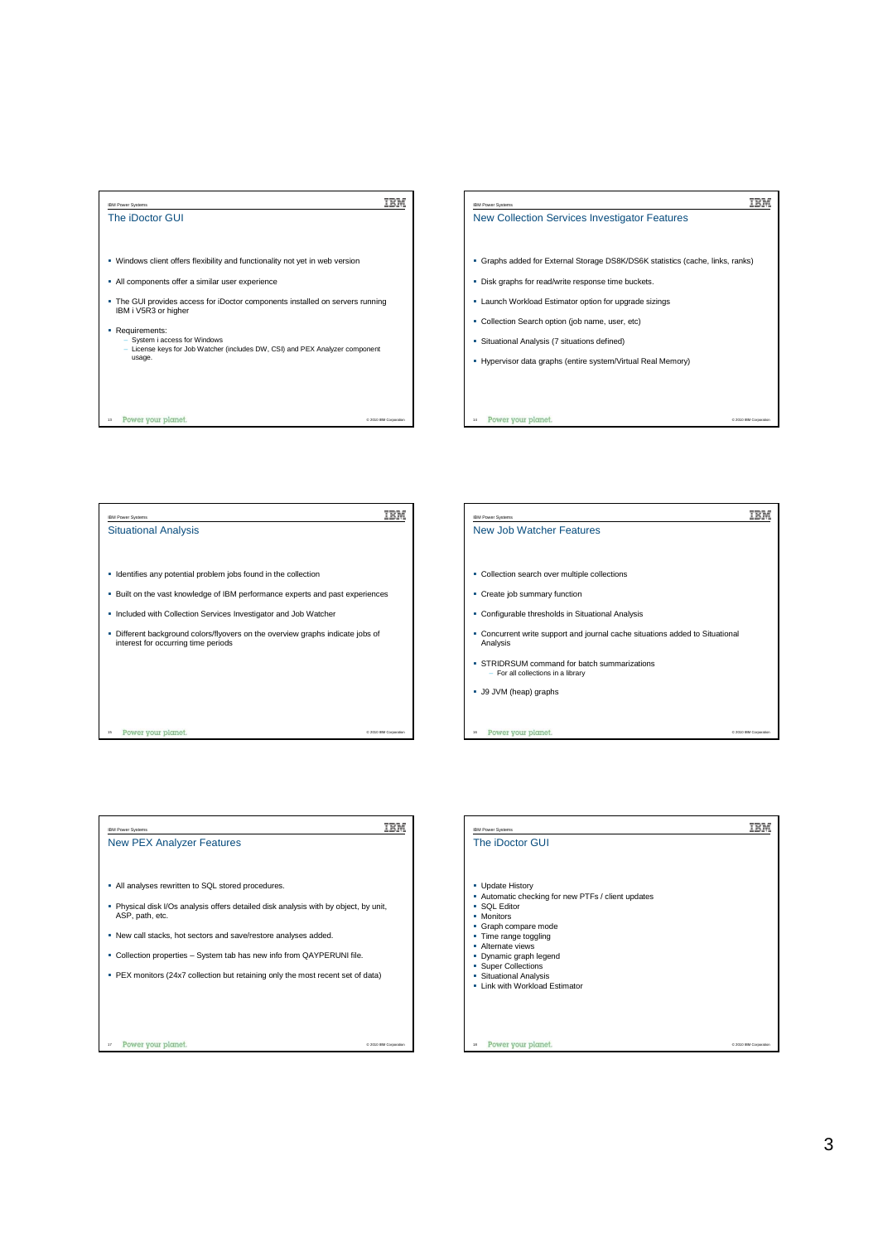

## IBM IBM Power Systems New Collection Services Investigator Features Graphs added for External Storage DS8K/DS6K statistics (cache, links, ranks) Disk graphs for read/write response time buckets. Launch Workload Estimator option for upgrade sizings Collection Search option (job name, user, etc) Situational Analysis (7 situations defined) Hypervisor data graphs (entire system/Virtual Real Memory)

© 2010 IBM Corporation



14

Power your planet.

| <b>IBM Power Systems</b>                                                                              |                        |  |
|-------------------------------------------------------------------------------------------------------|------------------------|--|
| <b>New PEX Analyzer Features</b>                                                                      |                        |  |
|                                                                                                       |                        |  |
| All analyses rewritten to SQL stored procedures.                                                      |                        |  |
| Physical disk I/Os analysis offers detailed disk analysis with by object, by unit,<br>ASP, path, etc. |                        |  |
| . New call stacks, hot sectors and save/restore analyses added.                                       |                        |  |
| Collection properties – System tab has new info from QAYPERUNI file.<br>٠                             |                        |  |
| PEX monitors (24x7 collection but retaining only the most recent set of data)<br>٠                    |                        |  |
|                                                                                                       |                        |  |
|                                                                                                       |                        |  |
|                                                                                                       |                        |  |
| Power your planet.<br>17                                                                              | C 2010 IBM Corporation |  |